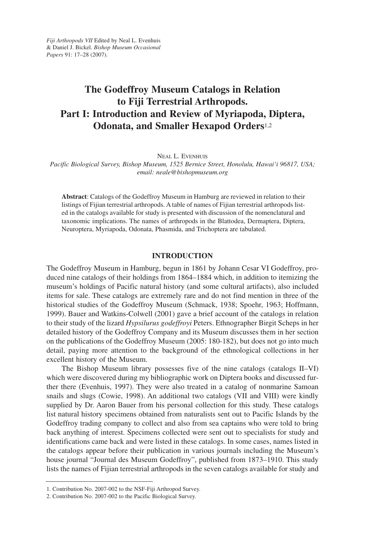## **The Godeffroy Museum Catalogs in Relation to Fiji Terrestrial Arthropods. Part I: Introduction and Review of Myriapoda, Diptera, Odonata, and Smaller Hexapod Orders**1,2

NEAL L. EVENHUIS

*Pacific Biological Survey, Bishop Museum, 1525 Bernice Street, Honolulu, Hawai'i 96817, USA; email: neale@bishopmuseum.org*

**Abstract**: Catalogs of the Godeffroy Museum in Hamburg are reviewed in relation to their listings of Fijian terrestrial arthropods. A table of names of Fijian terrestrial arthropods listed in the catalogs available for study is presented with discussion of the nomenclatural and taxonomic implications. The names of arthropods in the Blattodea, Dermaptera, Diptera, Neuroptera, Myriapoda, Odonata, Phasmida, and Trichoptera are tabulated.

### **INTRODUCTION**

The Godeffroy Museum in Hamburg, begun in 1861 by Johann Cesar VI Godeffroy, produced nine catalogs of their holdings from 1864–1884 which, in addition to itemizing the museum's holdings of Pacific natural history (and some cultural artifacts), also included items for sale. These catalogs are extremely rare and do not find mention in three of the historical studies of the Godeffroy Museum (Schmack, 1938; Spoehr, 1963; Hoffmann, 1999). Bauer and Watkins-Colwell (2001) gave a brief account of the catalogs in relation to their study of the lizard *Hypsilurus godeffroyi* Peters. Ethnographer Birgit Scheps in her detailed history of the Godeffroy Company and its Museum discusses them in her section on the publications of the Godeffroy Museum (2005: 180-182), but does not go into much detail, paying more attention to the background of the ethnological collections in her excellent history of the Museum.

The Bishop Museum library possesses five of the nine catalogs (catalogs II–VI) which were discovered during my bibliographic work on Diptera books and discussed further there (Evenhuis, 1997). They were also treated in a catalog of nonmarine Samoan snails and slugs (Cowie, 1998). An additional two catalogs (VII and VIII) were kindly supplied by Dr. Aaron Bauer from his personal collection for this study. These catalogs list natural history specimens obtained from naturalists sent out to Pacific Islands by the Godeffroy trading company to collect and also from sea captains who were told to bring back anything of interest. Specimens collected were sent out to specialists for study and identifications came back and were listed in these catalogs. In some cases, names listed in the catalogs appear before their publication in various journals including the Museum's house journal "Journal des Museum Godeffroy", published from 1873–1910. This study lists the names of Fijian terrestrial arthropods in the seven catalogs available for study and

<sup>1.</sup> Contribution No. 2007-002 to the NSF-Fiji Arthropod Survey.

<sup>2.</sup> Contribution No. 2007-002 to the Pacific Biological Survey.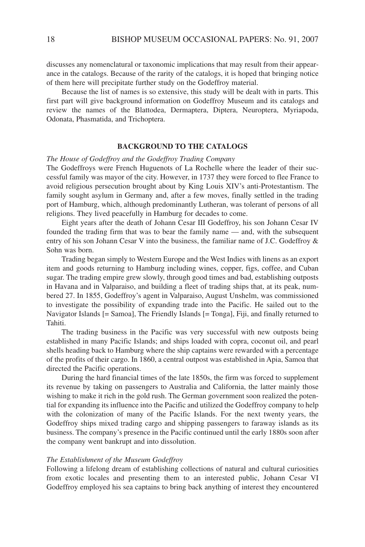discusses any nomenclatural or taxonomic implications that may result from their appearance in the catalogs. Because of the rarity of the catalogs, it is hoped that bringing notice of them here will precipitate further study on the Godeffroy material.

Because the list of names is so extensive, this study will be dealt with in parts. This first part will give background information on Godeffroy Museum and its catalogs and review the names of the Blattodea, Dermaptera, Diptera, Neuroptera, Myriapoda, Odonata, Phasmatida, and Trichoptera.

### **BACKGROUND TO THE CATALOGS**

### *The House of Godeffroy and the Godeffroy Trading Company*

The Godeffroys were French Huguenots of La Rochelle where the leader of their successful family was mayor of the city. However, in 1737 they were forced to flee France to avoid religious persecution brought about by King Louis XIV's anti-Protestantism. The family sought asylum in Germany and, after a few moves, finally settled in the trading port of Hamburg, which, although predominantly Lutheran, was tolerant of persons of all religions. They lived peacefully in Hamburg for decades to come.

Eight years after the death of Johann Cesar III Godeffroy, his son Johann Cesar IV founded the trading firm that was to bear the family name — and, with the subsequent entry of his son Johann Cesar V into the business, the familiar name of J.C. Godeffroy & Sohn was born.

Trading began simply to Western Europe and the West Indies with linens as an export item and goods returning to Hamburg including wines, copper, figs, coffee, and Cuban sugar. The trading empire grew slowly, through good times and bad, establishing outposts in Havana and in Valparaiso, and building a fleet of trading ships that, at its peak, numbered 27. In 1855, Godeffroy's agent in Valparaiso, August Unshelm, was commissioned to investigate the possibility of expanding trade into the Pacific. He sailed out to the Navigator Islands [= Samoa], The Friendly Islands [= Tonga], Fiji, and finally returned to Tahiti.

The trading business in the Pacific was very successful with new outposts being established in many Pacific Islands; and ships loaded with copra, coconut oil, and pearl shells heading back to Hamburg where the ship captains were rewarded with a percentage of the profits of their cargo. In 1860, a central outpost was established in Apia, Samoa that directed the Pacific operations.

During the hard financial times of the late 1850s, the firm was forced to supplement its revenue by taking on passengers to Australia and California, the latter mainly those wishing to make it rich in the gold rush. The German government soon realized the potential for expanding its influence into the Pacific and utilized the Godeffroy company to help with the colonization of many of the Pacific Islands. For the next twenty years, the Godeffroy ships mixed trading cargo and shipping passengers to faraway islands as its business. The company's presence in the Pacific continued until the early 1880s soon after the company went bankrupt and into dissolution.

#### *The Establishment of the Museum Godeffroy*

Following a lifelong dream of establishing collections of natural and cultural curiosities from exotic locales and presenting them to an interested public, Johann Cesar VI Godeffroy employed his sea captains to bring back anything of interest they encountered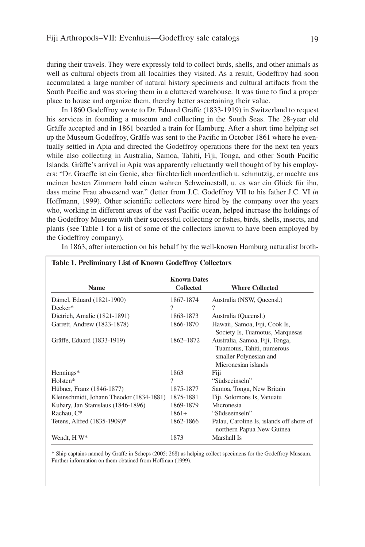during their travels. They were expressly told to collect birds, shells, and other animals as well as cultural objects from all localities they visited. As a result, Godeffroy had soon accumulated a large number of natural history specimens and cultural artifacts from the South Pacific and was storing them in a cluttered warehouse. It was time to find a proper place to house and organize them, thereby better ascertaining their value.

In 1860 Godeffroy wrote to Dr. Eduard Gräffe (1833-1919) in Switzerland to request his services in founding a museum and collecting in the South Seas. The 28-year old Gräffe accepted and in 1861 boarded a train for Hamburg. After a short time helping set up the Museum Godeffroy, Gräffe was sent to the Pacific in October 1861 where he eventually settled in Apia and directed the Godeffroy operations there for the next ten years while also collecting in Australia, Samoa, Tahiti, Fiji, Tonga, and other South Pacific Islands. Gräffe's arrival in Apia was apparently reluctantly well thought of by his employers: "Dr. Graeffe ist ein Genie, aber fürchterlich unordentlich u. schmutzig, er machte aus meinen besten Zimmern bald einen wahren Schweinestall, u. es war ein Glück für ihn, dass meine Frau abwesend war." (letter from J.C. Godeffroy VII to his father J.C. VI *in* Hoffmann, 1999). Other scientific collectors were hired by the company over the years who, working in different areas of the vast Pacific ocean, helped increase the holdings of the Godeffroy Museum with their successful collecting or fishes, birds, shells, insects, and plants (see Table 1 for a list of some of the collectors known to have been employed by the Godeffroy company).

| <b>Table 1. Preliminary List of Known Godeffroy Collectors</b> |                    |                                                                       |
|----------------------------------------------------------------|--------------------|-----------------------------------------------------------------------|
|                                                                | <b>Known Dates</b> |                                                                       |
| <b>Name</b>                                                    | <b>Collected</b>   | <b>Where Collected</b>                                                |
| Dämel, Eduard (1821-1900)                                      | 1867-1874          | Australia (NSW, Queensl.)                                             |
| Decker*                                                        | ?                  | ?                                                                     |
| Dietrich, Amalie (1821-1891)                                   | 1863-1873          | Australia (Queensl.)                                                  |
| Garrett, Andrew (1823-1878)                                    | 1866-1870          | Hawaii, Samoa, Fiji, Cook Is,                                         |
|                                                                |                    | Society Is, Tuamotus, Marquesas                                       |
| Gräffe, Eduard (1833-1919)                                     | 1862-1872          | Australia, Samoa, Fiji, Tonga,                                        |
|                                                                |                    | Tuamotus, Tahiti, numerous                                            |
|                                                                |                    | smaller Polynesian and                                                |
|                                                                |                    | Micronesian islands                                                   |
| Hennings*                                                      | 1863               | Fiji                                                                  |
| Holsten*                                                       | 9                  | "Südseeinseln"                                                        |
| Hübner, Franz (1846-1877)                                      | 1875-1877          | Samoa, Tonga, New Britain                                             |
| Kleinschmidt, Johann Theodor (1834-1881)                       | 1875-1881          | Fiji, Solomons Is, Vanuatu                                            |
| Kubary, Jan Stanislaus (1846-1896)                             | 1869-1879          | Micronesia                                                            |
| Rachau, C*                                                     | $1861+$            | "Südseeinseln"                                                        |
| Tetens, Alfred (1835-1909)*                                    | 1862-1866          | Palau, Caroline Is, islands off shore of<br>northern Papua New Guinea |
| Wendt, H W*                                                    | 1873               | Marshall Is                                                           |

In 1863, after interaction on his behalf by the well-known Hamburg naturalist broth-

\* Ship captains named by Gräffe in Scheps (2005: 268) as helping collect specimens for the Godeffroy Museum. Further information on them obtained from Hoffman (1999).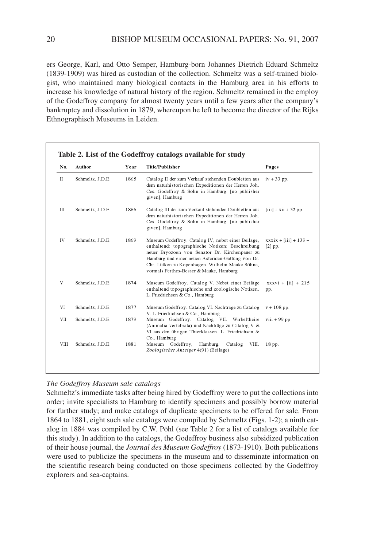ers George, Karl, and Otto Semper, Hamburg-born Johannes Dietrich Eduard Schmeltz (1839-1909) was hired as custodian of the collection. Schmeltz was a self-trained biologist, who maintained many biological contacts in the Hamburg area in his efforts to increase his knowledge of natural history of the region. Schmeltz remained in the employ of the Godeffroy company for almost twenty years until a few years after the company's bankruptcy and dissolution in 1879, whereupon he left to become the director of the Rijks Ethnographisch Museums in Leiden.

| No.         | Author           | Year | Title/Publisher                                                                                                                                                                                                                                                                                             | Pages                                 |
|-------------|------------------|------|-------------------------------------------------------------------------------------------------------------------------------------------------------------------------------------------------------------------------------------------------------------------------------------------------------------|---------------------------------------|
| П           | Schmeltz, J.D.E. | 1865 | Catalog II der zum Verkauf stehenden Doubletten aus<br>dem naturhistorischen Expeditionen der Herren Joh.<br>Ces. Godeffroy & Sohn in Hamburg. [no publisher<br>given], Hamburg                                                                                                                             | $iv + 33$ pp.                         |
| Ш           | Schmeltz, J.D.E. | 1866 | Catalog III der zum Verkauf stehenden Doubletten aus<br>dem naturhistorischen Expeditionen der Herren Joh.<br>Ces. Godeffroy & Sohn in Hamburg. [no publisher<br>given], Hamburg                                                                                                                            | $[iii] + xii + 52$ pp.                |
| IV          | Schmeltz, J.D.E. | 1869 | Museum Godeffroy. Catalog IV, nebst einer Beiläge,<br>enthaltend: topographische Notizen; Beschreibung<br>neuer Bryozoen von Senator Dr. Kirchenpauer zu<br>Hamburg und einer neuen Asteriden-Gattung von Dr.<br>Chr. Lütken zu Kopenhagen. Wilhelm Mauke Söhne,<br>vormals Perthes-Besser & Mauke, Hamburg | $xxxxix + [iii] + 139 +$<br>$[2]$ pp. |
| V           | Schmeltz, J.D.E. | 1874 | Museum Godeffroy. Catalog V. Nebst einer Beiläge<br>enthaltend topographische und zoologische Notizen.<br>L. Friedrichsen & Co., Hamburg                                                                                                                                                                    | $xxxxvi + [iii] + 215$<br>pp.         |
| VI          | Schmeltz, J.D.E. | 1877 | Museum Godeffroy. Catalog VI. Nachträge zu Catalog<br>V. L. Friedrichsen & Co., Hamburg                                                                                                                                                                                                                     | $v + 108$ pp.                         |
| VII         | Schmeltz, J.D.E. | 1879 | Museum Godeffroy. Catalog VII. Wirbeltheire<br>(Animalia vertebrata) und Nachträge zu Catalog V &<br>VI aus den übrigen Thierklassen. L. Friedrichsen &<br>Co., Hamburg                                                                                                                                     | $viii + 99$ pp.                       |
| <b>VIII</b> | Schmeltz, J.D.E. | 1881 | Museum Godeffroy,<br>Hamburg.<br>Catalog<br>VIII.<br>Zoologischer Anzeiger 4(91) (Beilage)                                                                                                                                                                                                                  | 18 pp.                                |

### *The Godeffroy Museum sale catalogs*

Schmeltz's immediate tasks after being hired by Godeffroy were to put the collections into order; invite specialists to Hamburg to identify specimens and possibly borrow material for further study; and make catalogs of duplicate specimens to be offered for sale. From 1864 to 1881, eight such sale catalogs were compiled by Schmeltz (Figs. 1-2); a ninth catalog in 1884 was compiled by C.W. Pöhl (see Table 2 for a list of catalogs available for this study). In addition to the catalogs, the Godeffroy business also subsidized publication of their house journal, the *Journal des Museum Godeffroy* (1873-1910). Both publications were used to publicize the specimens in the museum and to disseminate information on the scientific research being conducted on those specimens collected by the Godeffroy explorers and sea-captains.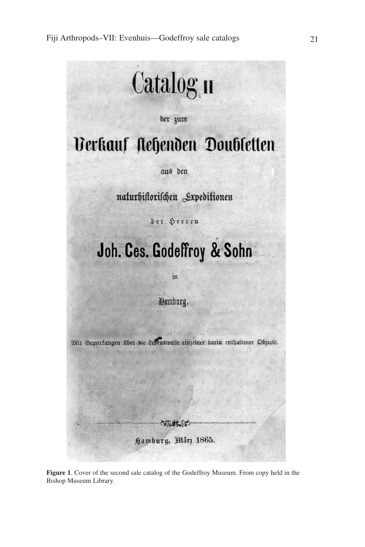

**Figure 1**. Cover of the second sale catalog of the Godeffroy Museum. From copy held in the Bishop Museum Library.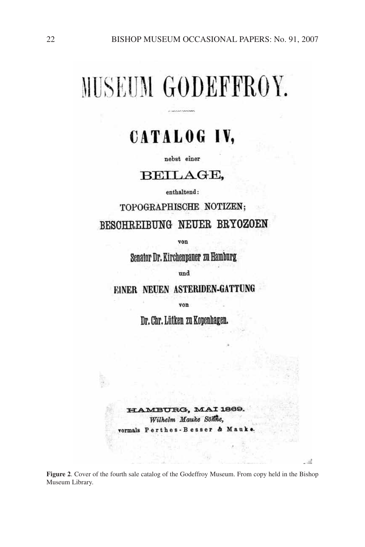# MUSEUM GODEFFROY.

# CATALOG IV,

nebst einer

### BEILAGE,

enthaltend:

TOPOGRAPHISCHE NOTIZEN; BESCHREIBUNG NEUER BRYOZOEN

von

Senator Dr. Kirchenpauer zu Hamburg

und

EINER NEUEN ASTERIDEN-GATTUNG

von

Dr. Chr. Lütken zu Kopenhagen.

MBURG, MAI 1869. Wilhelm Mauke Söhne, vormals Perthes-Besser

**Figure 2**. Cover of the fourth sale catalog of the Godeffroy Museum. From copy held in the Bishop Museum Library.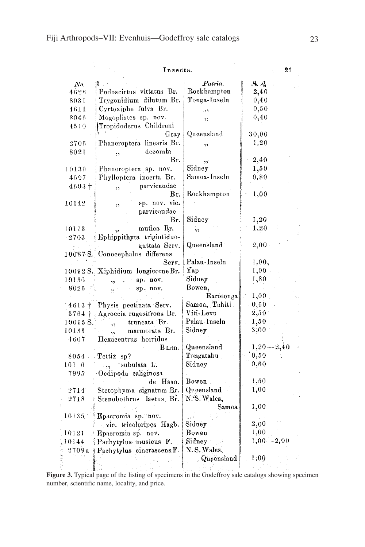|  |  |  | Insecta. |
|--|--|--|----------|

|                         | Insecta.                                |                      | 21          |
|-------------------------|-----------------------------------------|----------------------|-------------|
| No.                     |                                         | Patria.              | M. S        |
| 4628                    | Podoscirtus vittatus Br.                | Rockhampton          | 2,40        |
| 8031                    | "Trygonidium dilutum Br.                | Tonga-Inseln         | 0,40        |
| 4611                    | Cyrtoxiphe fulva Br.                    | $\ddot{\phantom{1}}$ | 0, 50       |
| 8046                    | Mogoplistes sp. nov.                    | ,,                   | 0,40        |
| 4510                    | Tropidoderus Childreni                  |                      |             |
|                         | Gray                                    | Queensland           | 30,00       |
| 2706                    | Phaneroptera linearis Br.               | ו ו                  | 1,20        |
| 8021                    | decorata<br>٠,                          |                      |             |
|                         | Вr.                                     | , ,                  | 2,40        |
| 10139                   | Phaneroptera sp. nov.                   | Sidney               | 1,50        |
| 4597                    | Phylloptera incerta Br.                 | Samoa-Inseln         | 0, 80       |
| $4603 +$                | parvicaudae<br>$\overline{\mathcal{L}}$ |                      |             |
|                         | Br.                                     | Rockhampton          | $^{1,00}$   |
| 10142                   | sp. nov. vie.<br>$\overline{2}$         |                      |             |
|                         | parvicaudae                             |                      |             |
|                         | Br.                                     | Sidney               | 1,20        |
| 10113                   | mutica Br.                              | , ,                  | 1,20        |
| 2703                    | Ephippithyta trigintiduo-               |                      |             |
|                         | guttata Serv.                           | Queensland           | 2,00        |
|                         | 10087 S. Conocephalus differens         |                      |             |
|                         | Serv.                                   | Palau-Inseln         | 1,00,       |
|                         | 10092 S. Xiphidium longicorne Br.       | Yap.                 | 1,00        |
| 10136                   | sp. nov.                                | Sidney               | 1,80        |
| 8026                    | sp. nov.<br>Ŷ5                          | Bowen,               |             |
|                         |                                         | Rarotonga            | 1,00        |
|                         | 4613 + Physis pectinata Serv.           | Samoa, Tahiti        | 0, 60       |
| $3764 +$                | Agroecia rugosifrons Br.                | Viti-Levu            | 2,50        |
| $10095$ $\mathrm{S}$ ." | truncata Br.                            | Palau-Inseln         | 1,50        |
| 10133                   | marmorata Br.                           | Sidney               | 3,00        |
| 4607                    | Hexacentrus horridus                    |                      |             |
|                         | Burm.                                   | Queensland           | $1,20-2,40$ |
| 8054                    | Tettix sp?                              | Tongatabu            | 0,50        |
| 101.6                   | subulata L.                             | Sidney               | 0,60        |
| 7995                    | Oedipoda caliginosa                     |                      |             |
|                         | de Haan.                                | Bowen                | 1,50        |
| 2714                    | Stetophyma signatum Br.                 | Queensland           | 1,00        |
| 2718                    | Stenobothrus laetus Br.                 | N.S. Wales,          |             |
|                         |                                         | Samoa                | 1,00        |
| 10135                   | Epacromia sp. nov.                      |                      |             |
|                         | vic. tricoloripes Hagb.                 | Sidney               | $_{2,00}$   |
| 10121                   | Epacromia sp. nov.                      | Bowen                | 1,00        |
| 10144                   | Pachytylus musicus F.                   | Sidney               | $1,00-2,00$ |
| 2709a                   | Pachytylus cinerascens F.               | N.S. Wales,          |             |
|                         |                                         | Queensland           | 1,00        |
|                         |                                         |                      |             |

**Figure 3.** Typical page of the listing of specimens in the Godeffroy sale catalogs showing specimen number, scientific name, locality, and price.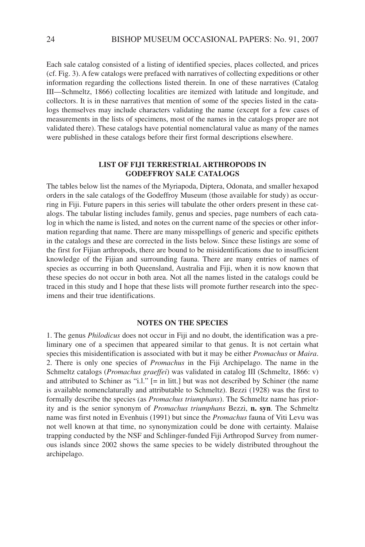Each sale catalog consisted of a listing of identified species, places collected, and prices (cf. Fig. 3). A few catalogs were prefaced with narratives of collecting expeditions or other information regarding the collections listed therein. In one of these narratives (Catalog III—Schmeltz, 1866) collecting localities are itemized with latitude and longitude, and collectors. It is in these narratives that mention of some of the species listed in the catalogs themselves may include characters validating the name (except for a few cases of measurements in the lists of specimens, most of the names in the catalogs proper are not validated there). These catalogs have potential nomenclatural value as many of the names were published in these catalogs before their first formal descriptions elsewhere.

### **LIST OF FIJI TERRESTRIAL ARTHROPODS IN GODEFFROY SALE CATALOGS**

The tables below list the names of the Myriapoda, Diptera, Odonata, and smaller hexapod orders in the sale catalogs of the Godeffroy Museum (those available for study) as occurring in Fiji. Future papers in this series will tabulate the other orders present in these catalogs. The tabular listing includes family, genus and species, page numbers of each catalog in which the name is listed, and notes on the current name of the species or other information regarding that name. There are many misspellings of generic and specific epithets in the catalogs and these are corrected in the lists below. Since these listings are some of the first for Fijian arthropods, there are bound to be misidentifications due to insufficient knowledge of the Fijian and surrounding fauna. There are many entries of names of species as occurring in both Queensland, Australia and Fiji, when it is now known that these species do not occur in both area. Not all the names listed in the catalogs could be traced in this study and I hope that these lists will promote further research into the specimens and their true identifications.

### **NOTES ON THE SPECIES**

1. The genus *Philodicus* does not occur in Fiji and no doubt, the identification was a preliminary one of a specimen that appeared similar to that genus. It is not certain what species this misidentification is associated with but it may be either *Promachus* or *Maira*. 2. There is only one species of *Promachus* in the Fiji Archipelago. The name in the Schmeltz catalogs (*Promachus graeffei*) was validated in catalog III (Schmeltz, 1866: v) and attributed to Schiner as "i.l." [= in litt.] but was not described by Schiner (the name is available nomenclaturally and attributable to Schmeltz). Bezzi (1928) was the first to formally describe the species (as *Promachus triumphans*). The Schmeltz name has priority and is the senior synonym of *Promachus triumphans* Bezzi, **n. syn**. The Schmeltz name was first noted in Evenhuis (1991) but since the *Promachus* fauna of Viti Levu was not well known at that time, no synonymization could be done with certainty. Malaise trapping conducted by the NSF and Schlinger-funded Fiji Arthropod Survey from numerous islands since 2002 shows the same species to be widely distributed throughout the archipelago.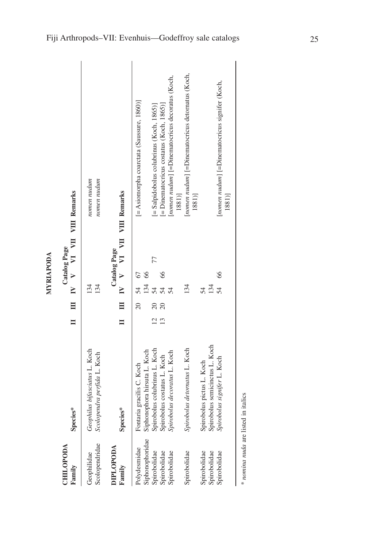| ۱ |
|---|
|   |
|   |
|   |
| ٦ |
|   |
|   |
|   |
|   |

| CHILOPODA<br>Family                   | Species*                                                     |                 |            |          | <b>Catalog Page</b> | II III V VI VII VIII Remarks                                        |
|---------------------------------------|--------------------------------------------------------------|-----------------|------------|----------|---------------------|---------------------------------------------------------------------|
| Scolopendridae<br>Geophilidae         | Geophilus bifasciatus L. Koch<br>Scolopendra perfida L. Koch |                 | 134<br>134 |          |                     | nomen nudum<br>nomen nudum                                          |
| <b>DIPLOPODA</b><br>Family            | Species*                                                     |                 |            |          | <b>Catalog Page</b> | III IV V VI VII VIII Remarks                                        |
| Siphonophoridae<br>Polydesmidae       | Siphonophora hirsuta L. Koch<br>Fontaria gracilis C. Koch    | $\overline{20}$ | 134<br>34  | 67<br>66 |                     | [= Asiomorpha coarctata (Saussure, 1860)]                           |
| Spirobolidae                          | Spirobolus colubrinus L. Koch                                |                 | 54         |          | 77                  | $[=$ Salpidobolus colubrinus (Koch, 1865)]                          |
| Spirobolidae                          | Spirobolus costatus L. Koch                                  |                 | 54         | 66       |                     | $=$ Dinematocricus costatus (Koch, 1865)]                           |
| Spirobolidae                          | Spirobolus decoratus L. Koch                                 |                 | 54         |          |                     | [nomen nudum] [=Dinematocricus decoratus (Koch,<br>1881)]           |
| Spirobolidae                          | Spirobolus detornatus L. Koch                                |                 | 134        |          |                     | [ <i>nomen nudum</i> ] [=Dinematocricus detornatus (Koch,<br>1881)] |
| Spirobolidae<br>Spirobolidae          | Spirobolus semicinctus L. Koch<br>Spirobolus pictus L. Koch  |                 | 134<br>54  |          |                     |                                                                     |
| Spirobolidae                          | Spirobolus signifer L. Koch                                  |                 | 54         | 66       |                     | [nomen nudum] [=Dinematocricus signifer (Koch,<br>1881)]            |
| $*$ nomina muda ora lietad in itoliac |                                                              |                 |            |          |                     |                                                                     |

*nomina nuda* are listed in italics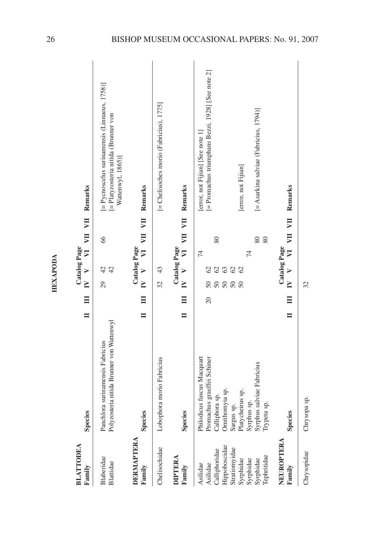| <b>BLATTODEA</b><br>Family | <b>Species</b>                                                                | $\blacksquare$ | E               | $\mathbf{V}$ V | Catalog Page                   | $\overline{\mathbf{z}}$ |    | VII VII Remarks                                                                                            |
|----------------------------|-------------------------------------------------------------------------------|----------------|-----------------|----------------|--------------------------------|-------------------------|----|------------------------------------------------------------------------------------------------------------|
| Blaberidae<br>Blattidae    | Polyzosteria nitida Brunner von Wattenwyl<br>Panchlora surinamensis Fabricius |                |                 | 29             | $\frac{1}{4}$<br>42            |                         | 66 | [= Pycnoscelus surinamensis (Linnaeus, 1758)]<br>[= Platyzosteria nitida (Brunner von<br>Wattenwyl, 1865)] |
| DERMAPTERA<br>Family       | <b>Species</b>                                                                | Ξ              | $IV$ $V$        |                | <b>Catalog Page</b>            |                         |    | VI VII VII Remarks                                                                                         |
| Chelisochidae              | Lobophora morio Fabricius                                                     |                |                 | 32             | 43                             |                         |    | [= Chelisoches morio (Fabricius), 1775]                                                                    |
| <b>DIPTERA</b><br>Family   | <b>Species</b>                                                                |                | $\Xi$           | $\mathbf{V}$ V | Catalog Page                   | $\overline{\mathbf{u}}$ |    | VII VII Remarks                                                                                            |
| Asilidae                   | Philodicus fuscus Macquart                                                    |                | $\overline{20}$ |                |                                | $\sharp$                |    | [error, not Fijian] [See note 1]                                                                           |
| Calliphoridae<br>Asilidae  | Promachus graeffei Schiner<br>Calliphora sp.                                  |                |                 | 50<br>50       | $\mathcal{O}$<br>$\mathcal{O}$ |                         | 80 | [= Promachus triumphans Bezzi, 1928] [See note 2]                                                          |
| Hippoboscidae              | Ornithomyia sp.                                                               |                |                 | 50             | 63                             |                         |    |                                                                                                            |
| Stratiomyidae              | Sargus sp.                                                                    |                |                 | 50             | $\mathcal{O}$                  |                         |    |                                                                                                            |
| Syrphidae                  | Platycheirus sp.                                                              |                |                 | $50\,$         | $\mathcal{O}$                  |                         |    | [error, not Fijian]                                                                                        |
| Syrphidae                  | Syrphus sp.                                                                   |                |                 |                |                                | 74                      |    |                                                                                                            |
| Syrphidae                  | Syrphus salviae Fabricius                                                     |                |                 |                |                                | 80                      |    | $[=$ Asarkina salviae (Fabricius, 1794)]                                                                   |
| Tephritidae                | Trypeta sp.                                                                   |                |                 |                |                                |                         | 80 |                                                                                                            |
| NEUROPTERA                 |                                                                               |                |                 |                | Catalog Page                   |                         |    |                                                                                                            |
| Family                     | <b>Species</b>                                                                | Ξ              | Ξ               | $\mathbf{V}$ V |                                |                         |    | VI VII VII Remarks                                                                                         |
| Chrysopidae                | Chrysopa sp.                                                                  |                |                 | 32             |                                |                         |    |                                                                                                            |

**HEXAPODA HEXAPODA**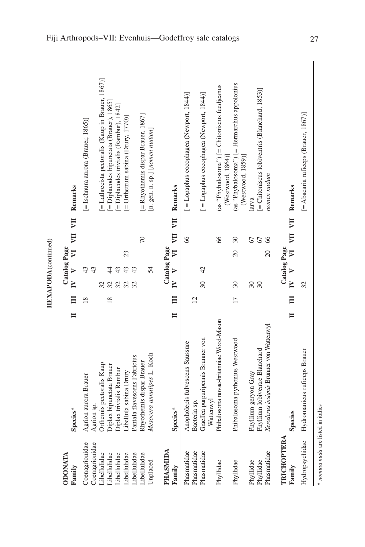| <b>ODONATA</b>    |                                                 |                |                           |                           | <b>Catalog Page</b>        |                         |                                                                      |
|-------------------|-------------------------------------------------|----------------|---------------------------|---------------------------|----------------------------|-------------------------|----------------------------------------------------------------------|
| Family            | $\blacksquare$<br>Species*                      |                | $\overline{\mathbf{u}}$   | $\mathbf{V}$ V            | $\sum$                     |                         | VII VII Remarks                                                      |
| Coenagrionidae    | Agrion aurora Brauer                            |                | $\frac{8}{2}$             | 43                        |                            |                         | $[$ = Ischnura aurora (Brauer, 1865)]                                |
| Coenagrionidae    | Agrion sp.                                      |                |                           | 43                        |                            |                         |                                                                      |
| Libellulidae      | Orthemis pectoralis Kaup                        |                | 32                        |                           |                            |                         | [= Lathrecista pectoralis (Kaup in Brauer, 1867)]                    |
| Libellulidae      | Diplax bipunctata Brauer                        |                | 32<br>$\frac{8}{18}$      | $\frac{4}{4}$             |                            |                         | [= Diplacodes bipunctata (Brauer), 1865]                             |
| Libellulidae      | Diplax trivialis Rambur                         |                |                           | 43                        |                            |                         | [= Diplacodes trivialis (Rambur), 1842]                              |
| Libellulidae      | Libellula sabina Drury                          |                | 32                        | 43                        | 23                         |                         | $[=$ Orthetrum sabina (Drury, 1770)]                                 |
| Libellulidae      | Pantala flavescens Fabricius                    |                |                           | 43                        |                            |                         |                                                                      |
| Libellulidae      | Rhyothemis dispar Brauer                        |                |                           |                           |                            | $\sqrt{2}$              | [= Rhyothemis dispar Brauer, 1867]                                   |
| Unplaced          | Mesocera amulipes L. Koch                       |                |                           | 54                        |                            |                         | [n. gen. n. sp.] [nomen nudum]                                       |
| PHASMIDA          |                                                 |                |                           |                           | Catalog Page               |                         |                                                                      |
| Family            | $\blacksquare$<br>Species*                      |                | $\mathsf{N}$<br>$\Xi$     | $\geq$                    | $\overline{z}$             |                         | VII VII Remarks                                                      |
| Phasmatidae       | Anopholepis fulvescens Saussure                 |                |                           |                           |                            | 66                      | [ = Lopaphus cocophagea (Newport, 1844)]                             |
| Phasmatidae       | Bacteria sp.                                    | $\overline{2}$ |                           |                           |                            |                         |                                                                      |
| Phasmatidae       | Graeffea purpuripennis Brunner von<br>Wattenwyl |                | $\overline{30}$           | $\overline{42}$           |                            |                         | [ = Lopaphus cocophagea (Newport, 1844)]                             |
| Phyllidae         | Phibalosoma novae-britanniae Wood-Mason         |                |                           |                           |                            | 66                      | $(as 'Phybalosoma'')$ $= Chitoniscus feedjeanus$<br>(Westwood, 1864) |
| Phyllidae         | Phibalosoma pythonius Westwood                  |                | $30\,$<br>$\overline{17}$ |                           | $\overline{20}$            | $\overline{30}$         | (as "Phybalosoma") [= Hermarchus appolonius<br>(Westwood, 1859)]     |
| Phyllidae         | Phyllium geryon Gray                            |                | 30                        |                           |                            | 67                      | larva                                                                |
| Phyllidae         | Phyllium lobiventre Blanchard                   |                | 30                        |                           |                            | 67                      | [= Chitoniscus lobiventris (Blanchard, 1853)]                        |
| Phasmatidae       | Xeroderus insignis Brunner von Wattenwyl        |                |                           |                           | $\overline{20}$            | $\delta$                | nomen nudum                                                          |
| <b>TRICHOPTER</b> |                                                 |                |                           |                           | Catalog Page               |                         |                                                                      |
| Family            | $\blacksquare$<br>Species                       |                | $\Box$                    | $\mathbf{V}$ $\mathbf{V}$ | $\overline{\triangledown}$ | $\overline{\mathbf{H}}$ | VII Remarks                                                          |
| Hydropsychidae    | Hydromanicus ruficeps Brauer                    |                | 32                        |                           |                            |                         | [= Abacaria ruficeps (Brauer, 1867)]                                 |

**HEXAPODA** (continued) **HEXAPODA**(continued)

> \* nomina nuda are listed in italics *nomina nuda* are listed in italics